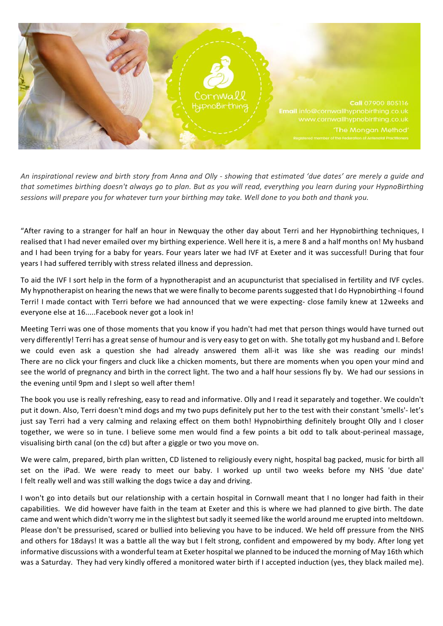

An inspirational review and birth story from Anna and Olly - showing that estimated 'due dates' are merely a quide and that sometimes birthing doesn't always go to plan. But as you will read, everything you learn during your HypnoBirthing sessions will prepare you for whatever turn your birthing may take. Well done to you both and thank you.

"After raving to a stranger for half an hour in Newquay the other day about Terri and her Hypnobirthing techniques, I realised that I had never emailed over my birthing experience. Well here it is, a mere 8 and a half months on! My husband and I had been trying for a baby for years. Four years later we had IVF at Exeter and it was successful! During that four years I had suffered terribly with stress related illness and depression.

To aid the IVF I sort help in the form of a hypnotherapist and an acupuncturist that specialised in fertility and IVF cycles. My hypnotherapist on hearing the news that we were finally to become parents suggested that I do Hypnobirthing -I found Terri! I made contact with Terri before we had announced that we were expecting- close family knew at 12weeks and everyone else at 16.....Facebook never got a look in!

Meeting Terri was one of those moments that you know if you hadn't had met that person things would have turned out very differently! Terri has a great sense of humour and is very easy to get on with. She totally got my husband and I. Before we could even ask a question she had already answered them all-it was like she was reading our minds! There are no click your fingers and cluck like a chicken moments, but there are moments when you open your mind and see the world of pregnancy and birth in the correct light. The two and a half hour sessions fly by. We had our sessions in the evening until 9pm and I slept so well after them!

The book you use is really refreshing, easy to read and informative. Olly and I read it separately and together. We couldn't put it down. Also, Terri doesn't mind dogs and my two pups definitely put her to the test with their constant 'smells'- let's just say Terri had a very calming and relaxing effect on them both! Hypnobirthing definitely brought Olly and I closer together, we were so in tune. I believe some men would find a few points a bit odd to talk about-perineal massage, visualising birth canal (on the cd) but after a giggle or two you move on.

We were calm, prepared, birth plan written, CD listened to religiously every night, hospital bag packed, music for birth all set on the iPad. We were ready to meet our baby. I worked up until two weeks before my NHS 'due date' I felt really well and was still walking the dogs twice a day and driving.

I won't go into details but our relationship with a certain hospital in Cornwall meant that I no longer had faith in their capabilities. We did however have faith in the team at Exeter and this is where we had planned to give birth. The date came and went which didn't worry me in the slightest but sadly it seemed like the world around me erupted into meltdown. Please don't be pressurised, scared or bullied into believing you have to be induced. We held off pressure from the NHS and others for 18days! It was a battle all the way but I felt strong, confident and empowered by my body. After long yet informative discussions with a wonderful team at Exeter hospital we planned to be induced the morning of May 16th which was a Saturday. They had very kindly offered a monitored water birth if I accepted induction (yes, they black mailed me).